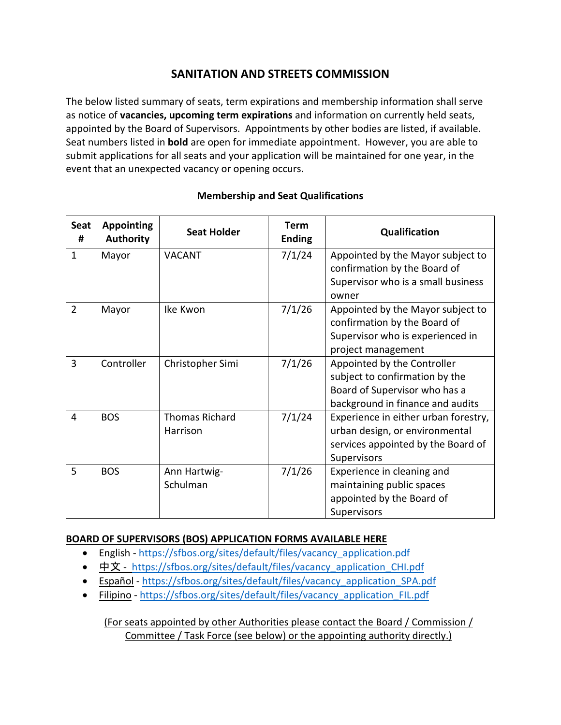## **SANITATION AND STREETS COMMISSION**

The below listed summary of seats, term expirations and membership information shall serve as notice of **vacancies, upcoming term expirations** and information on currently held seats, appointed by the Board of Supervisors. Appointments by other bodies are listed, if available. Seat numbers listed in **bold** are open for immediate appointment. However, you are able to submit applications for all seats and your application will be maintained for one year, in the event that an unexpected vacancy or opening occurs.

| <b>Seat</b><br># | <b>Appointing</b><br><b>Authority</b> | <b>Seat Holder</b>                | <b>Term</b><br><b>Ending</b> | Qualification                                                                                                                      |
|------------------|---------------------------------------|-----------------------------------|------------------------------|------------------------------------------------------------------------------------------------------------------------------------|
| $\mathbf{1}$     | Mayor                                 | <b>VACANT</b>                     | 7/1/24                       | Appointed by the Mayor subject to<br>confirmation by the Board of<br>Supervisor who is a small business<br>owner                   |
| $\overline{2}$   | Mayor                                 | Ike Kwon                          | 7/1/26                       | Appointed by the Mayor subject to<br>confirmation by the Board of<br>Supervisor who is experienced in<br>project management        |
| 3                | Controller                            | Christopher Simi                  | 7/1/26                       | Appointed by the Controller<br>subject to confirmation by the<br>Board of Supervisor who has a<br>background in finance and audits |
| 4                | <b>BOS</b>                            | <b>Thomas Richard</b><br>Harrison | 7/1/24                       | Experience in either urban forestry,<br>urban design, or environmental<br>services appointed by the Board of<br>Supervisors        |
| 5                | <b>BOS</b>                            | Ann Hartwig-<br>Schulman          | 7/1/26                       | Experience in cleaning and<br>maintaining public spaces<br>appointed by the Board of<br>Supervisors                                |

## **Membership and Seat Qualifications**

## **BOARD OF SUPERVISORS (BOS) APPLICATION FORMS AVAILABLE HERE**

- English [https://sfbos.org/sites/default/files/vacancy\\_application.pdf](https://sfbos.org/sites/default/files/vacancy_application.pdf)
- [中文](https://sfbos.org/sites/default/files/vacancy_application_CHI.pdf) [https://sfbos.org/sites/default/files/vacancy\\_application\\_CHI.pdf](https://sfbos.org/sites/default/files/vacancy_application_CHI.pdf)
- [Español](https://sfbos.org/sites/default/files/vacancy_application_SPA.pdf) [https://sfbos.org/sites/default/files/vacancy\\_application\\_SPA.pdf](https://sfbos.org/sites/default/files/vacancy_application_SPA.pdf)
- [Filipino](https://sfbos.org/sites/default/files/vacancy_application_FIL.pdf) [https://sfbos.org/sites/default/files/vacancy\\_application\\_FIL.pdf](https://sfbos.org/sites/default/files/vacancy_application_FIL.pdf)

(For seats appointed by other Authorities please contact the Board / Commission / Committee / Task Force (see below) or the appointing authority directly.)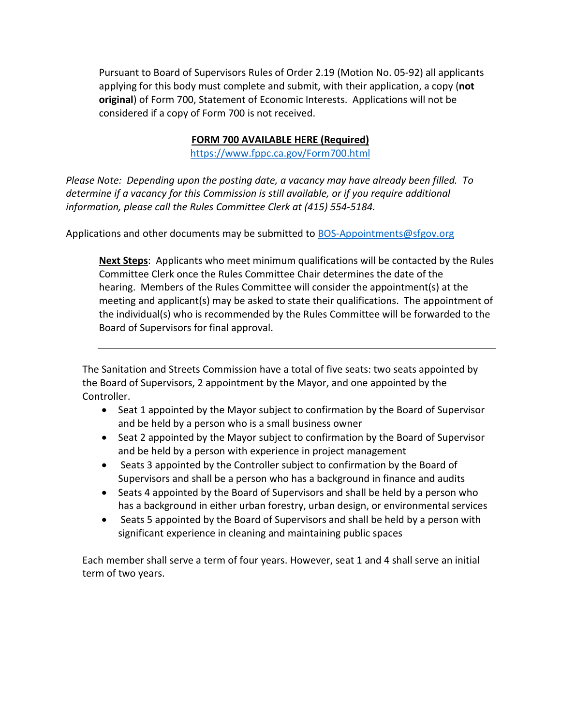Pursuant to Board of Supervisors Rules of Order 2.19 (Motion No. 05-92) all applicants applying for this body must complete and submit, with their application, a copy (**not original**) of Form 700, Statement of Economic Interests. Applications will not be considered if a copy of Form 700 is not received.

## **FORM 700 AVAILABLE HERE (Required)**

<https://www.fppc.ca.gov/Form700.html>

*Please Note: Depending upon the posting date, a vacancy may have already been filled. To determine if a vacancy for this Commission is still available, or if you require additional information, please call the Rules Committee Clerk at (415) 554-5184.*

Applications and other documents may be submitted to [BOS-Appointments@sfgov.org](mailto:BOS-Appointments@sfgov.org)

**Next Steps**: Applicants who meet minimum qualifications will be contacted by the Rules Committee Clerk once the Rules Committee Chair determines the date of the hearing. Members of the Rules Committee will consider the appointment(s) at the meeting and applicant(s) may be asked to state their qualifications. The appointment of the individual(s) who is recommended by the Rules Committee will be forwarded to the Board of Supervisors for final approval.

The Sanitation and Streets Commission have a total of five seats: two seats appointed by the Board of Supervisors, 2 appointment by the Mayor, and one appointed by the Controller.

- Seat 1 appointed by the Mayor subject to confirmation by the Board of Supervisor and be held by a person who is a small business owner
- Seat 2 appointed by the Mayor subject to confirmation by the Board of Supervisor and be held by a person with experience in project management
- Seats 3 appointed by the Controller subject to confirmation by the Board of Supervisors and shall be a person who has a background in finance and audits
- Seats 4 appointed by the Board of Supervisors and shall be held by a person who has a background in either urban forestry, urban design, or environmental services
- Seats 5 appointed by the Board of Supervisors and shall be held by a person with significant experience in cleaning and maintaining public spaces

Each member shall serve a term of four years. However, seat 1 and 4 shall serve an initial term of two years.